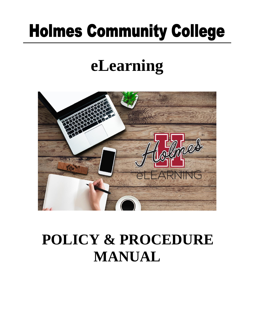# **Holmes Community College**

## **eLearning**



## **POLICY & PROCEDURE MANUAL**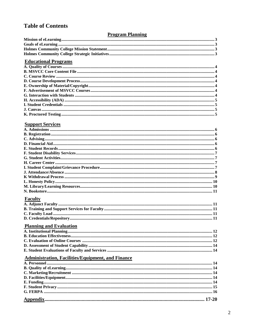#### **Table of Contents**

#### **Program Planning**

| <b>Educational Programs</b> |  |
|-----------------------------|--|
|                             |  |
|                             |  |
|                             |  |
|                             |  |
|                             |  |
|                             |  |
|                             |  |
|                             |  |
|                             |  |
|                             |  |
|                             |  |
|                             |  |

#### **Support Services**

#### **Faculty**

#### **Planning and Evaluation**

## **Administration, Facilities/Equipment, and Finance**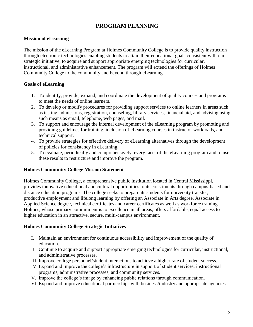#### **PROGRAM PLANNING**

#### **Mission of eLearning**

The mission of the eLearning Program at Holmes Community College is to provide quality instruction through electronic technologies enabling students to attain their educational goals consistent with our strategic initiative, to acquire and support appropriate emerging technologies for curricular, instructional, and administrative enhancement. The program will extend the offerings of Holmes Community College to the community and beyond through eLearning.

#### **Goals of eLearning**

- 1. To identify, provide, expand, and coordinate the development of quality courses and programs to meet the needs of online learners.
- 2. To develop or modify procedures for providing support services to online learners in areas such as testing, admissions, registration, counseling, library services, financial aid, and advising using such means as email, telephone, web pages, and mail.
- 3. To support and encourage the internal development of the eLearning program by promoting and providing guidelines for training, inclusion of eLearning courses in instructor workloads, and technical support.
- 4. To provide strategies for effective delivery of eLearning alternatives through the development of policies for consistency in eLearning.
- 5. To evaluate, periodically and comprehensively, every facet of the eLearning program and to use these results to restructure and improve the program.

#### **Holmes Community College Mission Statement**

Holmes Community College, a comprehensive public institution located in Central Mississippi, provides innovative educational and cultural opportunities to its constituents through campus-based and distance education programs. The college seeks to prepare its students for university transfer, productive employment and lifelong learning by offering an Associate in Arts degree, Associate in Applied Science degree, technical certificates and career certificates as well as workforce training. Holmes, whose primary commitment is to excellence in all areas, offers affordable, equal access to higher education in an attractive, secure, multi-campus environment.

#### **Holmes Community College Strategic Initiatives**

- I. Maintain an environment for continuous accessibility and improvement of the quality of education.
- II. Continue to acquire and support appropriate emerging technologies for curricular, instructional, and administrative processes.
- III. Improve college personnel/student interactions to achieve a higher rate of student success.
- IV. Expand and improve the college's infrastructure in support of student services, instructional programs, administrative processes, and community services.
- V. Improve the college's image by enhancing public relations through communication.
- VI. Expand and improve educational partnerships with business/industry and appropriate agencies.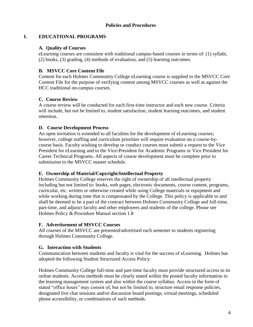#### **Policies and Procedures**

#### **I. EDUCATIONAL PROGRAMS**

#### **A. Quality of Courses**

eLearning courses are consistent with traditional campus-based courses in terms of: (1) syllabi, (2) books, (3) grading, (4) methods of evaluation, and (5) learning outcomes.

#### **B. MSVCC Core Content File**

Content for each Holmes Community College eLearning course is supplied to the MSVCC Core Content File for the purpose of verifying content among MSVCC courses as well as against the HCC traditional on-campus courses.

#### **C. Course Review**

A course review will be conducted for each first-time instructor and each new course. Criteria will include, but not be limited to, student satisfaction, student learning outcomes, and student retention.

#### **D. Course Development Process**

An open invitation is extended to all faculties for the development of eLearning courses; however, college staffing and curriculum priorities will require evaluation on a course-bycourse basis. Faculty wishing to develop or conduct courses must submit a request to the Vice President for eLearning and to the Vice-President for Academic Programs or Vice President for Career Technical Programs. All aspects of course development must be complete prior to submission to the MSVCC master schedule.

#### **E. Ownership of Material/Copyright/Intellectual Property**

Holmes Community College reserves the right of ownership of all intellectual property including but not limited to: books, web pages, electronic documents, course content, programs, curricular, etc. written or otherwise created while using College materials or equipment and while working during time that is compensated by the College. This policy is applicable to and shall be deemed to be a part of the contract between Holmes Community College and full-time, part-time, and adjunct faculty and other employees and students of the college. Please see Holmes Policy & Procedure Manual section 1.8

#### **F. Advertisement of MSVCC Courses**

All courses of the MSVCC are presented/advertised each semester to students registering through Holmes Community College.

#### **G. Interaction with Students**

Communication between students and faculty is vital for the success of eLearning. Holmes has adopted the following Student Structured Access Policy:

Holmes Community College full-time and part-time faculty must provide structured access to its online students. Access methods must be clearly stated within the posted faculty information in the learning management system and also within the course syllabus. Access in the form of stated "office hours" may consist of, but not be limited to, structure email response policies, designated live chat sessions and/or discussion board postings, virtual meetings, scheduled phone accessibility, or combinations of such methods.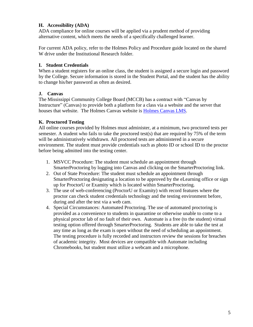#### **H. Accessibility (ADA)**

ADA compliance for online courses will be applied via a prudent method of providing alternative content, which meets the needs of a specifically challenged learner.

For current ADA policy, refer to the Holmes Policy and Procedure guide located on the shared W drive under the Institutional Research folder.

#### **I. Student Credentials**

When a student registers for an online class, the student is assigned a secure login and password by the College. Secure information is stored in the Student Portal, and the student has the ability to change his/her password as often as desired.

#### **J. Canvas**

The Mississippi Community College Board (MCCB) has a contract with "Canvas by Instructure" (Canvas) to provide both a platform for a class via a website and the server that houses that website. The Holmes Canvas website is [Holmes Canvas LMS.](http://holmescc.instructure.com/)

#### **K. Proctored Testing**

All online courses provided by Holmes must administer, at a minimum, two proctored tests per semester. A student who fails to take the proctored test(s) that are required by 75% of the term will be administratively withdrawn. All proctored tests are administered in a secure environment. The student must provide credentials such as photo ID or school ID to the proctor before being admitted into the testing center.

- 1. MSVCC Procedure: The student must schedule an appointment through SmarterProctoring by logging into Canvas and clicking on the SmarterProctoring link.
- 2. Out of State Procedure: The student must schedule an appointment through SmarterProctoring designating a location to be approved by the eLearning office or sign up for ProctorU or Examity which is located within SmarterProctoring.
- 3. The use of web-conferencing (ProctorU or Examity) with record features where the proctor can check student credentials technology and the testing environment before, during and after the test via a web cam.
- 4. Special Circumstances: Automated Proctoring. The use of automated proctoring is provided as a convenience to students in quarantine or otherwise unable to come to a physical proctor lab of no fault of their own. Automate is a free (to the student) virtual testing option offered through SmarterProctoring. Students are able to take the test at any time as long as the exam is open without the need of scheduling an appointment. The testing procedure is fully recorded and instructors review the sessions for breaches of academic integrity. Most devices are compatible with Automate including Chromebooks, but student must utilize a webcam and a microphone.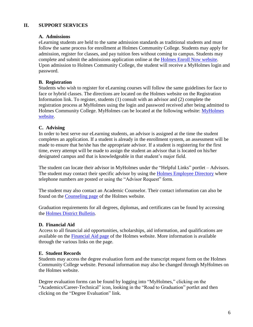#### **II. SUPPORT SERVICES**

#### **A. Admissions**

eLearning students are held to the same admission standards as traditional students and must follow the same process for enrollment at Holmes Community College. Students may apply for admission, register for classes, and pay tuition fees without coming to campus. Students may complete and submit the admissions application online at the [Holmes Enroll Now website.](https://hccapp.holmescc.edu/ruready_orientation/index.cfm) Upon admission to Holmes Community College, the student will receive a MyHolmes login and password.

#### **B. Registration**

Students who wish to register for eLearning courses will follow the same guidelines for face to face or hybrid classes. The directions are located on the Holmes website on the Registration Information link. To register, students (1) consult with an advisor and (2) complete the registration process at MyHolmes using the login and password received after being admitted to Holmes Community College. [MyHolmes](https://my.holmescc.edu/cp/home/displaylogin) can be located at the following website: MyHolmes [website.](https://my.holmescc.edu/cp/home/displaylogin)

#### **C. Advising**

In order to best serve our eLearning students, an advisor is assigned at the time the student completes an application. If a student is already in the enrollment system, an assessment will be made to ensure that he/she has the appropriate advisor. If a student is registering for the first time, every attempt will be made to assign the student an advisor that is located on his/her designated campus and that is knowledgeable in that student's major field.

The student can locate their advisor in MyHolmes under the "Helpful Links" portlet – Advisors. The student may contact their specific advisor by using the [Holmes Employee](https://hccapp.holmescc.edu/adphonebook/) Directory where telephone numbers are posted or using the "Advisor Request" form.

The student may also contact an Academic Counselor. Their contact information can also be found on the [Counseling page](https://holmescc.edu/student-services/counseling/) of the Holmes website.

Graduation requirements for all degrees, diplomas, and certificates can be found by accessing the [Holmes District](https://holmescc.edu/about-us/district-bulletin/) Bulletin.

#### **D. Financial Aid**

Access to all financial aid opportunities, scholarships, aid information, and qualifications are available on the [Financial Aid page](https://holmescc.edu/financial-aid/) of the Holmes website. More information is available through the various links on the page.

#### **E. Student Records**

Students may access the degree evaluation form and the transcript request form on the Holmes Community College website. Personal information may also be changed through MyHolmes on the Holmes website.

Degree evaluation forms can be found by logging into "MyHolmes," clicking on the "Academics/Career-Technical" icon, looking in the "Road to Graduation" portlet and then clicking on the "Degree Evaluation" link.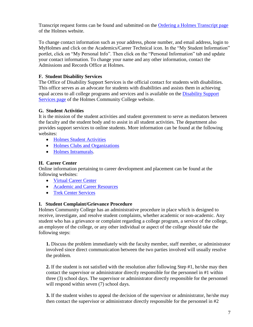Transcript request forms can be found and submitted on the [Ordering a Holmes Transcript page](https://holmescc.edu/admissions/ordering-a-holmes-transcript/) of the Holmes website.

To change contact information such as your address, phone number, and email address, login to MyHolmes and click on the Academics/Career Technical icon. In the "My Student Information" portlet, click on "My Personal Info". Then click on the "Personal Information" tab and update your contact information. To change your name and any other information, contact the Admissions and Records Office at Holmes.

#### **F. Student Disability Services**

The Office of Disability Support Services is the official contact for students with disabilities. This office serves as an advocate for students with disabilities and assists them in achieving equal access to all college programs and services and is available on the [Disability Support](https://holmescc.edu/student-services/disability-support-services/)  [Services page](https://holmescc.edu/student-services/disability-support-services/) of the Holmes Community College website.

#### **G. Student Activities**

It is the mission of the student activities and student government to serve as mediators between the faculty and the student body and to assist in all student activities. The department also provides support services to online students. More information can be found at the following websites:

- [Holmes Student Activities](https://holmescc.edu/student-life/student-activities/)
- [Holmes Clubs and Organizations](https://holmescc.edu/clubs-activities/)
- [Holmes Intramurals.](https://holmescc.edu/student-life/intramurals/)

#### **H. Career Center**

Online information pertaining to career development and placement can be found at the following websites:

- [Virtual Career Center](https://holmescc.edu/virtual-career-center/)
- [Academic and Career Resources](https://holmescc.edu/student-services/academic-and-career-resources/)
- [Trek Center Services](https://holmescc.edu/student-services/trek-center-services/)

#### **I. Student Complaint/Grievance Procedure**

Holmes Community College has an administrative procedure in place which is designed to receive, investigate, and resolve student complaints, whether academic or non-academic. Any student who has a grievance or complaint regarding a college program, a service of the college, an employee of the college, or any other individual or aspect of the college should take the following steps:

**1.** Discuss the problem immediately with the faculty member, staff member, or administrator involved since direct communication between the two parties involved will usually resolve the problem.

**2.** If the student is not satisfied with the resolution after following Step #1, he/she may then contact the supervisor or administrator directly responsible for the personnel in #1 within three (3) school days. The supervisor or administrator directly responsible for the personnel will respond within seven (7) school days.

**3.** If the student wishes to appeal the decision of the supervisor or administrator, he/she may then contact the supervisor or administrator directly responsible for the personnel in #2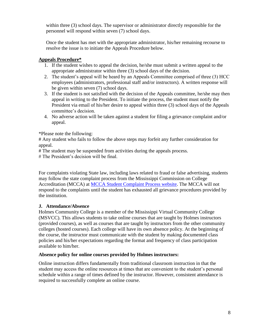within three (3) school days. The supervisor or administrator directly responsible for the personnel will respond within seven (7) school days.

Once the student has met with the appropriate administrator, his/her remaining recourse to resolve the issue is to initiate the Appeals Procedure below.

#### **Appeals Procedure\***

- 1. If the student wishes to appeal the decision, he/she must submit a written appeal to the appropriate administrator within three (3) school days of the decision.
- 2. The student's appeal will be heard by an Appeals Committee comprised of three (3) HCC employees (administrators, professional staff and/or instructors). A written response will be given within seven (7) school days.
- 3. If the student is not satisfied with the decision of the Appeals committee, he/she may then appeal in writing to the President. To initiate the process, the student must notify the President via email of his/her desire to appeal within three (3) school days of the Appeals committee's decision.
- 4. No adverse action will be taken against a student for filing a grievance complaint and/or appeal.

\*Please note the following:

# Any student who fails to follow the above steps may forfeit any further consideration for appeal.

# The student may be suspended from activities during the appeals process.

# The President's decision will be final.

For complaints violating State law, including laws related to fraud or false advertising, students may follow the state complaint process from the Mississippi Commission on College Accreditation (MCCA) at [MCCA Student Complaint Process website.](http://www.mississippi.edu/mcca/student_complaint_process.asp) The MCCA will not respond to the complaints until the student has exhausted all grievance procedures provided by the institution.

#### **J. Attendance/Absence**

Holmes Community College is a member of the Mississippi Virtual Community College (MSVCC). This allows students to take online courses that are taught by Holmes instructors (provided courses), as well as courses that are taught by instructors from the other community colleges (hosted courses). Each college will have its own absence policy. At the beginning of the course, the instructor must communicate with the student by making documented class policies and his/her expectations regarding the format and frequency of class participation available to him/her.

#### **Absence policy for online courses provided by Holmes instructors:**

Online instruction differs fundamentally from traditional classroom instruction in that the student may access the online resources at times that are convenient to the student's personal schedule within a range of times defined by the instructor. However, consistent attendance is required to successfully complete an online course.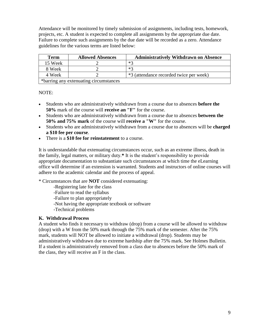Attendance will be monitored by timely submission of assignments, including tests, homework, projects, etc. A student is expected to complete all assignments by the appropriate due date. Failure to complete such assignments by the due date will be recorded as a zero. Attendance guidelines for the various terms are listed below:

| <b>Term</b> | <b>Allowed Absences</b>                | <b>Administratively Withdrawn on Absence</b> |
|-------------|----------------------------------------|----------------------------------------------|
| 15 Week     |                                        | $*2$                                         |
| 8 Week      |                                        | $*2$                                         |
| 4 Week      |                                        | *3 (attendance recorded twice per week)      |
|             | *barring any extenuating circumstances |                                              |

NOTE:

- Students who are administratively withdrawn from a course due to absences **before the 50%** mark of the course will **receive an "F"** for the course.
- Students who are administratively withdrawn from a course due to absences **between the 50% and 75% mark** of the course will **receive a "W"** for the course.
- Students who are administratively withdrawn from a course due to absences will be **charged a \$10 fee per course**.
- There is a **\$10 fee for reinstatement** to a course.

It is understandable that extenuating circumstances occur, such as an extreme illness, death in the family, legal matters, or military duty.**\*** It is the student's responsibility to provide appropriate documentation to substantiate such circumstances at which time the eLearning office will determine if an extension is warranted. Students and instructors of online courses will adhere to the academic calendar and the process of appeal.

\* Circumstances that are **NOT** considered extenuating:

-Registering late for the class

-Failure to read the syllabus

-Failure to plan appropriately

-Not having the appropriate textbook or software

-Technical problems

#### **K. Withdrawal Process**

A student who finds it necessary to withdraw (drop) from a course will be allowed to withdraw (drop) with a W from the 50% mark through the 75% mark of the semester. After the 75% mark, students will NOT be allowed to initiate a withdrawal (drop). Students may be administratively withdrawn due to extreme hardship after the 75% mark. See Holmes Bulletin. If a student is administratively removed from a class due to absences before the 50% mark of the class, they will receive an F in the class.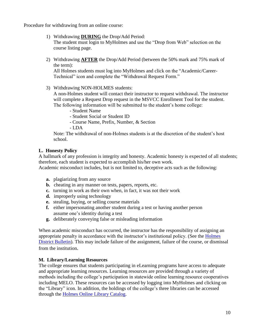Procedure for withdrawing from an online course:

- 1) Withdrawing **DURING** the Drop/Add Period: The student must login to MyHolmes and use the "Drop from Web" selection on the course listing page.
- 2) Withdrawing **AFTER** the Drop/Add Period (between the 50% mark and 75% mark of the term):

All Holmes students must log into MyHolmes and click on the "Academic/Career-Technical" icon and complete the "Withdrawal Request Form."

3) Withdrawing NON-HOLMES students:

A non-Holmes student will contact their instructor to request withdrawal. The instructor will complete a Request Drop request in the MSVCC Enrollment Tool for the student. The following information will be submitted to the student's home college:

- Student Name
- Student Social or Student ID
- Course Name, Prefix, Number, & Section
- LDA

Note: The withdrawal of non-Holmes students is at the discretion of the student's host school.

#### **L. Honesty Policy**

A hallmark of any profession is integrity and honesty. Academic honesty is expected of all students; therefore, each student is expected to accomplish his/her own work.

Academic misconduct includes, but is not limited to, deceptive acts such as the following:

- **a.** plagiarizing from any source
- **b.** cheating in any manner on tests, papers, reports, etc.
- **c.** turning in work as their own when, in fact, it was not their work
- **d.** improperly using technology
- **e.** stealing, buying, or selling course materials
- **f.** either impersonating another student during a test or having another person assume one's identity during a test
- **g.** deliberately conveying false or misleading information

When academic misconduct has occurred, the instructor has the responsibility of assigning an appropriate penalty in accordance with the instructor's institutional policy. (See the Holmes District [Bulletin\)](https://holmescc.edu/about-us/district-bulletin/). This may include failure of the assignment, failure of the course, or dismissal from the institution.

#### **M. Library/Learning Resources**

The college ensures that students participating in eLearning programs have access to adequate and appropriate learning resources. Learning resources are provided through a variety of methods including the college's participation in statewide online learning resource cooperatives including MELO. These resources can be accessed by logging into MyHolmes and clicking on the "Library" icon. In addition, the holdings of the college's three libraries can be accessed through the [Holmes Online Library Catalog.](https://hocc.sirsi.net/uhtbin/cgisirsi/x/x/0/49/)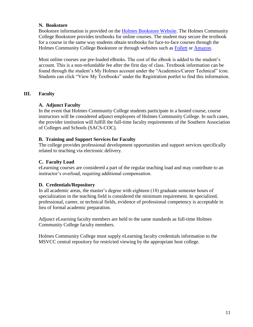#### **N. Bookstore**

Bookstore information is provided on the [Holmes Bookstore Website.](http://www.holmescc.edu/bookstore/) The Holmes Community College Bookstore provides textbooks for online courses. The student may secure the textbook for a course in the same way students obtain textbooks for face-to-face courses through the Holmes Community College Bookstore or through websites such as [Follett](http://www.follett.com/) or [Amazon.](http://www.amazon.com/)

Most online courses use pre-loaded eBooks. The cost of the eBook is added to the student's account. This is a non-refundable fee after the first day of class. Textbook information can be found through the student's My Holmes account under the "Academics/Career Technical" icon. Students can click "View My Textbooks" under the Registration portlet to find this information.

#### **III. Faculty**

#### **A. Adjunct Faculty**

In the event that Holmes Community College students participate in a hosted course, course instructors will be considered adjunct employees of Holmes Community College. In such cases, the provider institution will fulfill the full-time faculty requirements of the Southern Association of Colleges and Schools (SACS-COC).

#### **B. Training and Support Services for Faculty**

The college provides professional development opportunities and support services specifically related to teaching via electronic delivery.

#### **C. Faculty Load**

eLearning courses are considered a part of the regular teaching load and may contribute to an instructor's overload, requiring additional compensation.

#### **D. Credentials/Repository**

In all academic areas, the master's degree with eighteen (18) graduate semester hours of specialization in the teaching field is considered the minimum requirement. In specialized, professional, career, or technical fields, evidence of professional competency is acceptable in lieu of formal academic preparation.

Adjunct eLearning faculty members are held to the same standards as full-time Holmes Community College faculty members.

Holmes Community College must supply eLearning faculty credentials information to the MSVCC central repository for restricted viewing by the appropriate host college.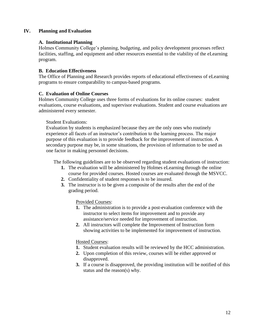#### **IV. Planning and Evaluation**

#### **A. Institutional Planning**

Holmes Community College's planning, budgeting, and policy development processes reflect facilities, staffing, and equipment and other resources essential to the viability of the eLearning program.

#### **B. Education Effectiveness**

The Office of Planning and Research provides reports of educational effectiveness of eLearning programs to ensure comparability to campus-based programs.

#### **C. Evaluation of Online Courses**

Holmes Community College uses three forms of evaluations for its online courses: student evaluations, course evaluations, and supervisor evaluations. Student and course evaluations are administered every semester.

#### Student Evaluations:

Evaluation by students is emphasized because they are the only ones who routinely experience all facets of an instructor's contribution to the learning process. The major purpose of this evaluation is to provide feedback for the improvement of instruction. A secondary purpose may be, in some situations, the provision of information to be used as one factor in making personnel decisions.

The following guidelines are to be observed regarding student evaluations of instruction:

- **1.** The evaluation will be administered by Holmes eLearning through the online course for provided courses. Hosted courses are evaluated through the MSVCC.
- **2.** Confidentiality of student responses is to be insured.
- **3.** The instructor is to be given a composite of the results after the end of the grading period.

Provided Courses:

- **1.** The administration is to provide a post-evaluation conference with the instructor to select items for improvement and to provide any assistance/service needed for improvement of instruction.
- **2.** All instructors will complete the Improvement of Instruction form showing activities to be implemented for improvement of instruction.

#### Hosted Courses:

- **1.** Student evaluation results will be reviewed by the HCC administration.
- **2.** Upon completion of this review, courses will be either approved or disapproved.
- **3.** If a course is disapproved, the providing institution will be notified of this status and the reason(s) why.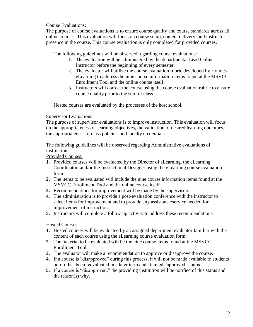Course Evaluations:

The purpose of course evaluations is to ensure course quality and course standards across all online courses. This evaluation will focus on course setup, content delivery, and instructor presence in the course. This course evaluation is only completed for provided courses.

The following guidelines will be observed regarding course evaluations:

- 1. The evaluation will be administered by the departmental Lead Online Instructor before the beginning of every semester.
- 2. The evaluator will utilize the course evaluation rubric developed by Holmes eLearning to address the nine course information items found at the MSVCC Enrollment Tool and the online course itself.
- 3. Instructors will correct the course using the course evaluation rubric to ensure course quality prior to the start of class.

Hosted courses are evaluated by the processes of the host school.

Supervisor Evaluations:

The purpose of supervisor evaluations is to improve instruction. This evaluation will focus on the appropriateness of learning objectives, the validation of desired learning outcomes, the appropriateness of class policies, and faculty credentials.

The following guidelines will be observed regarding Administrative evaluations of instruction:

Provided Courses:

- **1.** Provided courses will be evaluated by the Director of eLearning, the eLearning Coordinator, and/or the Instructional Designer using the eLearning course evaluation form.
- **2.** The items to be evaluated will include the nine course information items found at the MSVCC Enrollment Tool and the online course itself.
- **3.** Recommendations for improvement will be made by the supervisors.
- **4.** The administration is to provide a post-evaluation conference with the instructor to select items for improvement and to provide any assistance/service needed for improvement of instruction.
- **5.** Instructors will complete a follow-up activity to address these recommendations.

Hosted Courses:

- **1.** Hosted courses will be evaluated by an assigned department evaluator familiar with the content of each course using the eLearning course evaluation form.
- **2.** The material to be evaluated will be the nine course items found at the MSVCC Enrollment Tool.
- **3.** The evaluator will make a recommendation to approve or disapprove the course.
- **4.** If a course is "disapproved" during this process, it will not be made available to students until it has been reevaluated in a later term and attained "approved" status.
- **5.** If a course is "disapproved," the providing institution will be notified of this status and the reason(s) why.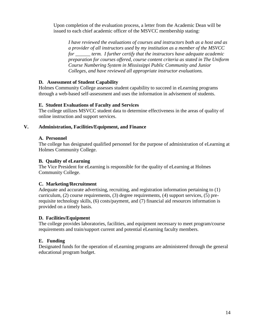Upon completion of the evaluation process, a letter from the Academic Dean will be issued to each chief academic officer of the MSVCC membership stating:

*I have reviewed the evaluations of courses and instructors both as a host and as a provider of all instructors used by my institution as a member of the MSVCC for \_\_\_\_\_\_ term. I further certify that the instructors have adequate academic preparation for courses offered, course content criteria as stated in The Uniform Course Numbering System in Mississippi Public Community and Junior Colleges, and have reviewed all appropriate instructor evaluations.* 

#### **D. Assessment of Student Capability**

Holmes Community College assesses student capability to succeed in eLearning programs through a web-based self-assessment and uses the information in advisement of students.

#### **E. Student Evaluations of Faculty and Services**

The college utilizes MSVCC student data to determine effectiveness in the areas of quality of online instruction and support services.

#### **V. Administration, Facilities/Equipment, and Finance**

#### **A. Personnel**

The college has designated qualified personnel for the purpose of administration of eLearning at Holmes Community College.

#### **B. Quality of eLearning**

The Vice President for eLearning is responsible for the quality of eLearning at Holmes Community College.

#### **C. Marketing/Recruitment**

Adequate and accurate advertising, recruiting, and registration information pertaining to (1) curriculum, (2) course requirements, (3) degree requirements, (4) support services, (5) prerequisite technology skills, (6) costs/payment, and (7) financial aid resources information is provided on a timely basis.

#### **D. Facilities/Equipment**

The college provides laboratories, facilities, and equipment necessary to meet program/course requirements and train/support current and potential eLearning faculty members.

#### **E. Funding**

Designated funds for the operation of eLearning programs are administered through the general educational program budget.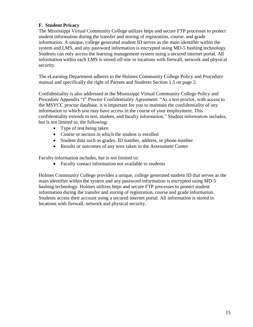#### **F. Student Privacy**

The Mississippi Virtual Community College utilizes https and secure FTP processes to protect student information during the transfer and storing of registration, course, and grade information. A unique, college generated student ID serves as the main identifier within the system and LMS, and any password information is encrypted using MD-5 hashing technology. Students can only access the learning management system using a secured internet portal. All information within each LMS is stored off-site in locations with firewall, network and physical security.

The eLearning Department adheres to the Holmes Community College Policy and Procedure manual and specifically the right of Parents and Students Section 1.5 on page 2.

Confidentiality is also addressed in the Mississippi Virtual Community College Policy and Procedure Appendix "I" Proctor Confidentiality Agreement: "As a test proctor, with access to the MSVCC proctor database, it is important for you to maintain the confidentiality of any information to which you may have access in the course of your employment. This confidentiality extends to test, student, and faculty information." Student information includes, but is not limited to, the following:

- Type of test being taken
- Course or section in which the student is enrolled
- Student data such as grades, ID number, address, or phone number
- Results or outcomes of any tests taken in the Assessment Center

Faculty information includes, but is not limited to:

• Faculty contact information not available to students

Holmes Community College provides a unique, college generated student ID that serves as the main identifier within the system and any password information is encrypted using MD-5 hashing technology. Holmes utilizes https and secure FTP processes to protect student information during the transfer and storing of registration, course and grade information. Students access their account using a secured internet portal. All information is stored in locations with firewall, network and physical security.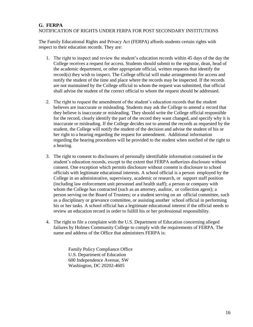#### **G. FERPA** NOTIFICATION OF RIGHTS UNDER FERPA FOR POST SECONDARY INSTITUTIONS

The Family Educational Rights and Privacy Act (FERPA) affords students certain rights with respect to their education records. They are:

- 1. The right to inspect and review the student's education records within 45 days of the day the College receives a request for access. Students should submit to the registrar, dean, head of the academic department, or other appropriate official, written requests that identify the record(s) they wish to inspect. The College official will make arrangements for access and notify the student of the time and place where the records may be inspected. If the records are not maintained by the College official to whom the request was submitted, that official shall advise the student of the correct official to whom the request should be addressed.
- 2. The right to request the amendment of the student's education records that the student believes are inaccurate or misleading. Students may ask the College to amend a record that they believe is inaccurate or misleading. They should write the College official responsible for the record, clearly identify the part of the record they want changed, and specify why it is inaccurate or misleading. If the College decides not to amend the records as requested by the student, the College will notify the student of the decision and advise the student of his or her right to a hearing regarding the request for amendment. Additional information regarding the hearing procedures will be provided to the student when notified of the right to a hearing.
- 3. The right to consent to disclosures of personally identifiable information contained in the student's education records, except to the extent that FERPA authorizes disclosure without consent. One exception which permits disclosure without consent is disclosure to school officials with legitimate educational interests. A school official is a person employed by the College in an administrative, supervisory, academic or research, or support staff position (including law enforcement unit personnel and health staff); a person or company with whom the College has contracted (such as an attorney, auditor, or collection agent); a person serving on the Board of Trustees; or a student serving on an official committee, such as a disciplinary or grievance committee, or assisting another school official in performing his or her tasks. A school official has a legitimate educational interest if the official needs to review an education record in order to fulfill his or her professional responsibility.
- 4. The right to file a complaint with the U.S. Department of Education concerning alleged failures by Holmes Community College to comply with the requirements of FERPA. The name and address of the Office that administers FERPA is:

 Family Policy Compliance Office U.S. Department of Education 600 Independence Avenue, SW Washington, DC 20202-4605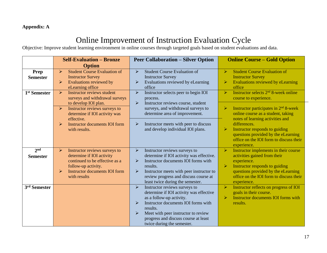#### **Appendix: A**

## Online Improvement of Instruction Evaluation Cycle

Objective: Improve student learning environment in online courses through targeted goals based on student evaluations and data.

|                                    | <b>Self-Evaluation - Bronze</b>                                                                                                                                                                               | <b>Peer Collaboration – Silver Option</b>                                                                                                                                                                                                                                                               | <b>Online Course – Gold Option</b>                                                                                                                                                                              |
|------------------------------------|---------------------------------------------------------------------------------------------------------------------------------------------------------------------------------------------------------------|---------------------------------------------------------------------------------------------------------------------------------------------------------------------------------------------------------------------------------------------------------------------------------------------------------|-----------------------------------------------------------------------------------------------------------------------------------------------------------------------------------------------------------------|
|                                    | <b>Option</b>                                                                                                                                                                                                 |                                                                                                                                                                                                                                                                                                         |                                                                                                                                                                                                                 |
| Prep<br><b>Semester</b>            | <b>Student Course Evaluation of</b><br>$\blacktriangleright$<br><b>Instructor Survey</b><br>Evaluations reviewed by<br>$\blacktriangleright$<br>eLearning office                                              | <b>Student Course Evaluation of</b><br>$\blacktriangleright$<br><b>Instructor Survey</b><br>Evaluations reviewed by eLearning<br>➤<br>office                                                                                                                                                            | $\blacktriangleright$<br><b>Student Course Evaluation of</b><br><b>Instructor Survey</b><br>$\blacktriangleright$<br>Evaluations reviewed by eLearning<br>office                                                |
| 1 <sup>st</sup> Semester           | Instructor reviews student<br>$\blacktriangleright$<br>surveys and withdrawal surveys<br>to develop IOI plan.                                                                                                 | $\blacktriangleright$<br>Instructor selects peer to begin IOI<br>process.<br>➤<br>Instructor reviews course, student                                                                                                                                                                                    | Instructor selects 2 <sup>nd</sup> 8-week online<br>$\blacktriangleright$<br>course to experience.                                                                                                              |
|                                    | Instructor reviews surveys to<br>$\blacktriangleright$<br>determine if IOI activity was<br>effective.                                                                                                         | surveys, and withdrawal surveys to<br>determine area of improvement.                                                                                                                                                                                                                                    | Instructor participates in $2nd 8$ -week<br>➤<br>online course as a student, taking<br>notes of learning activities and                                                                                         |
|                                    | <b>Instructor documents IOI form</b><br>$\triangleright$<br>with results.                                                                                                                                     | Instructor meets with peer to discuss<br>➤<br>and develop individual IOI plans.                                                                                                                                                                                                                         | differences.<br>$\blacktriangleright$<br>Instructor responds to guiding<br>questions provided by the eLearning<br>office on the IOI form to discuss their<br>experience.                                        |
| 2 <sub>nd</sub><br><b>Semester</b> | Instructor reviews surveys to<br>$\blacktriangleright$<br>determine if IOI activity<br>continued to be effective as a<br>follow-up activity.<br><b>Instructor documents IOI form</b><br>$\blacktriangleright$ | Instructor reviews surveys to<br>$\blacktriangleright$<br>determine if IOI activity was effective.<br>Instructor documents IOI forms with<br>$\blacktriangleright$<br>results.<br>Instructor meets with peer instructor to<br>➤                                                                         | Instructor implements in their course<br>$\blacktriangleright$<br>activities gained from their<br>experience.<br>$\blacktriangleright$<br>Instructor responds to guiding<br>questions provided by the eLearning |
|                                    | with results                                                                                                                                                                                                  | review progress and discuss course at<br>least twice during the semester.                                                                                                                                                                                                                               | office on the IOI form to discuss their<br>experience.                                                                                                                                                          |
| 3rd Semester                       |                                                                                                                                                                                                               | $\blacktriangleright$<br>Instructor reviews surveys to<br>determine if IOI activity was effective<br>as a follow-up activity.<br>Instructor documents IOI forms with<br>➤<br>results.<br>Meet with peer instructor to review<br>⋗<br>progress and discuss course at least<br>twice during the semester. | $\blacktriangleright$<br>Instructor reflects on progress of IOI<br>goals in their course.<br>Instructor documents IOI forms with<br>$\blacktriangleright$<br>results.                                           |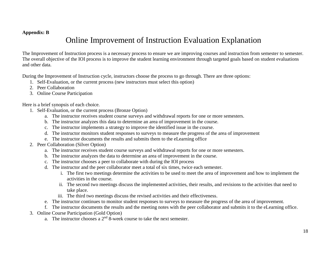#### **Appendix: B**

### Online Improvement of Instruction Evaluation Explanation

The Improvement of Instruction process is a necessary process to ensure we are improving courses and instruction from semester to semester. The overall objective of the IOI process is to improve the student learning environment through targeted goals based on student evaluations and other data.

During the Improvement of Instruction cycle, instructors choose the process to go through. There are three options:

- 1. Self-Evaluation, or the current process (new instructors must select this option)
- 2. Peer Collaboration
- 3. Online Course Participation

Here is a brief synopsis of each choice.

- 1. Self-Evaluation, or the current process (Bronze Option)
	- a. The instructor receives student course surveys and withdrawal reports for one or more semesters.
	- b. The instructor analyzes this data to determine an area of improvement in the course.
	- c. The instructor implements a strategy to improve the identified issue in the course.
	- d. The instructor monitors student responses to surveys to measure the progress of the area of improvement
	- e. The instructor documents the results and submits them to the eLearning office
- 2. Peer Collaboration (Silver Option)
	- a. The instructor receives student course surveys and withdrawal reports for one or more semesters.
	- b. The instructor analyzes the data to determine an area of improvement in the course.
	- c. The instructor chooses a peer to collaborate with during the IOI process
	- d. The instructor and the peer collaborator meet a total of six times, twice each semester.
		- i. The first two meetings determine the activities to be used to meet the area of improvement and how to implement the activities in the course.
		- ii. The second two meetings discuss the implemented activities, their results, and revisions to the activities that need to take place.
		- iii. The third two meetings discuss the revised activities and their effectiveness.
	- e. The instructor continues to monitor student responses to surveys to measure the progress of the area of improvement.
	- f. The instructor documents the results and the meeting notes with the peer collaborator and submits it to the eLearning office.
- 3. Online Course Participation (Gold Option)
	- a. The instructor chooses a  $2<sup>nd</sup> 8$ -week course to take the next semester.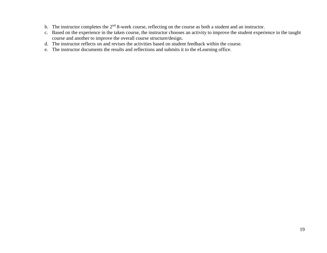- b. The instructor completes the 2<sup>nd</sup> 8-week course, reflecting on the course as both a student and an instructor.
- c. Based on the experience in the taken course, the instructor chooses an activity to improve the student experience in the taught course and another to improve the overall course structure/design.
- d. The instructor reflects on and revises the activities based on student feedback within the course.
- e. The instructor documents the results and reflections and submits it to the eLearning office.